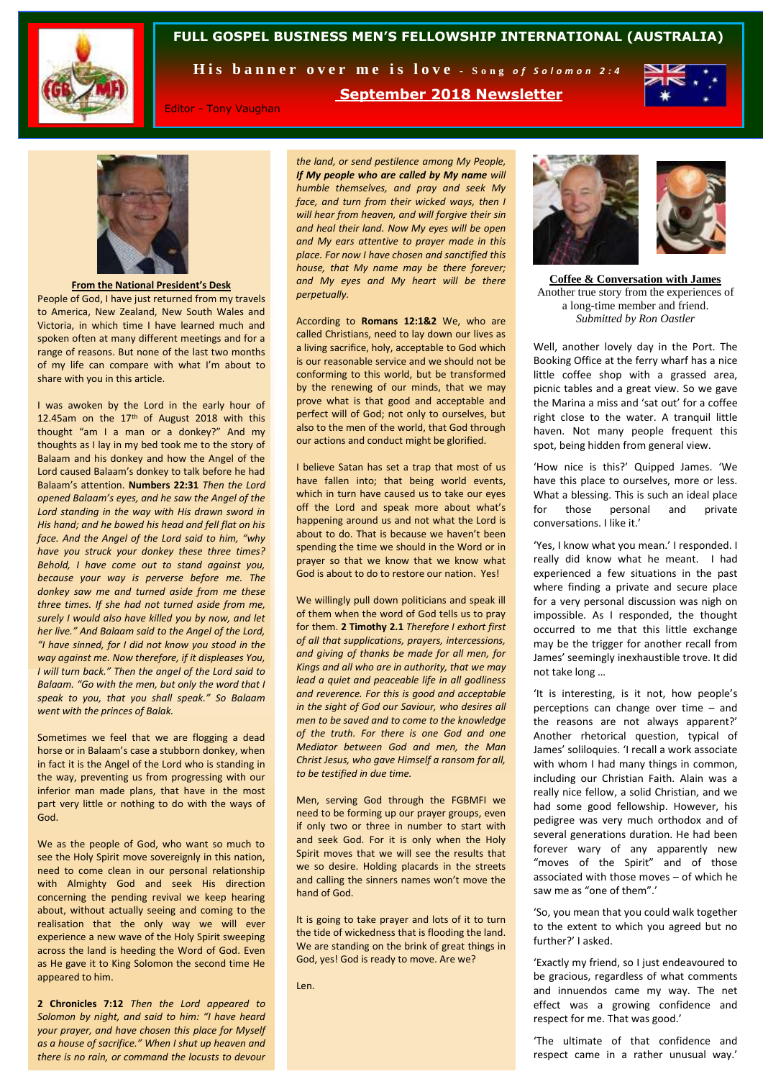

## **FULL GOSPEL BUSINESS MEN'S FELLOWSHIP INTERNATIONAL (AUSTRALIA)**

**September 2018 Newsletter**

His banner over me is love - Song of Solomon 2:4

Editor - Tony Vaughan

*the land, or send pestilence among My People, If My people who are called by My name will humble themselves, and pray and seek My face, and turn from their wicked ways, then I will hear from heaven, and will forgive their sin and heal their land. Now My eyes will be open and My ears attentive to prayer made in this place. For now I have chosen and sanctified this house, that My name may be there forever; and My eyes and My heart will be there perpetually.* 

According to **Romans 12:1&2** We, who are called Christians, need to lay down our lives as a living sacrifice, holy, acceptable to God which is our reasonable service and we should not be conforming to this world, but be transformed by the renewing of our minds, that we may prove what is that good and acceptable and perfect will of God; not only to ourselves, but also to the men of the world, that God through our actions and conduct might be glorified.

I believe Satan has set a trap that most of us have fallen into; that being world events, which in turn have caused us to take our eyes off the Lord and speak more about what's happening around us and not what the Lord is about to do. That is because we haven't been spending the time we should in the Word or in prayer so that we know that we know what God is about to do to restore our nation. Yes!

We willingly pull down politicians and speak ill of them when the word of God tells us to pray for them. **2 Timothy 2.1** *Therefore I exhort first of all that supplications, prayers, intercessions, and giving of thanks be made for all men, for Kings and all who are in authority, that we may lead a quiet and peaceable life in all godliness and reverence. For this is good and acceptable in the sight of God our Saviour, who desires all men to be saved and to come to the knowledge of the truth. For there is one God and one Mediator between God and men, the Man Christ Jesus, who gave Himself a ransom for all, to be testified in due time.* 

Men, serving God through the FGBMFI we need to be forming up our prayer groups, even if only two or three in number to start with and seek God. For it is only when the Holy Spirit moves that we will see the results that we so desire. Holding placards in the streets and calling the sinners names won't move the hand of God.

It is going to take prayer and lots of it to turn the tide of wickedness that is flooding the land. We are standing on the brink of great things in God, yes! God is ready to move. Are we?

Len.



**Coffee & Conversation with James** Another true story from the experiences of a long-time member and friend. *Submitted by Ron Oastler*

Well, another lovely day in the Port. The Booking Office at the ferry wharf has a nice little coffee shop with a grassed area, picnic tables and a great view. So we gave the Marina a miss and 'sat out' for a coffee right close to the water. A tranquil little haven. Not many people frequent this spot, being hidden from general view.

'How nice is this?' Quipped James. 'We have this place to ourselves, more or less. What a blessing. This is such an ideal place for those personal and private conversations. I like it.'

'Yes, I know what you mean.' I responded. I really did know what he meant. I had experienced a few situations in the past where finding a private and secure place for a very personal discussion was nigh on impossible. As I responded, the thought occurred to me that this little exchange may be the trigger for another recall from James' seemingly inexhaustible trove. It did not take long …

'It is interesting, is it not, how people's perceptions can change over time – and the reasons are not always apparent?' Another rhetorical question, typical of James' soliloquies. 'I recall a work associate with whom I had many things in common, including our Christian Faith. Alain was a really nice fellow, a solid Christian, and we had some good fellowship. However, his pedigree was very much orthodox and of several generations duration. He had been forever wary of any apparently new "moves of the Spirit" and of those associated with those moves – of which he saw me as "one of them".'

'So, you mean that you could walk together to the extent to which you agreed but no further?' I asked.

'Exactly my friend, so I just endeavoured to be gracious, regardless of what comments and innuendos came my way. The net effect was a growing confidence and respect for me. That was good.'

'The ultimate of that confidence and respect came in a rather unusual way.'



**From the National President's Desk**

People of God, I have just returned from my travels to America, New Zealand, New South Wales and Victoria, in which time I have learned much and spoken often at many different meetings and for a range of reasons. But none of the last two months of my life can compare with what I'm about to share with you in this article.

I was awoken by the Lord in the early hour of 12.45am on the  $17<sup>th</sup>$  of August 2018 with this thought "am I a man or a donkey?" And my thoughts as I lay in my bed took me to the story of Balaam and his donkey and how the Angel of the Lord caused Balaam's donkey to talk before he had Balaam's attention. **Numbers 22:31** *Then the Lord opened Balaam's eyes, and he saw the Angel of the Lord standing in the way with His drawn sword in His hand; and he bowed his head and fell flat on his face. And the Angel of the Lord said to him, "why have you struck your donkey these three times? Behold, I have come out to stand against you, because your way is perverse before me. The donkey saw me and turned aside from me these three times. If she had not turned aside from me, surely I would also have killed you by now, and let her live." And Balaam said to the Angel of the Lord, "I have sinned, for I did not know you stood in the way against me. Now therefore, if it displeases You, I will turn back." Then the angel of the Lord said to Balaam. "Go with the men, but only the word that I speak to you, that you shall speak." So Balaam went with the princes of Balak.*

Sometimes we feel that we are flogging a dead horse or in Balaam's case a stubborn donkey, when in fact it is the Angel of the Lord who is standing in the way, preventing us from progressing with our inferior man made plans, that have in the most part very little or nothing to do with the ways of God.

We as the people of God, who want so much to see the Holy Spirit move sovereignly in this nation, need to come clean in our personal relationship with Almighty God and seek His direction concerning the pending revival we keep hearing about, without actually seeing and coming to the realisation that the only way we will ever experience a new wave of the Holy Spirit sweeping across the land is heeding the Word of God. Even as He gave it to King Solomon the second time He appeared to him.

**2 Chronicles 7:12** *Then the Lord appeared to Solomon by night, and said to him: "I have heard your prayer, and have chosen this place for Myself as a house of sacrifice." When I shut up heaven and there is no rain, or command the locusts to devour*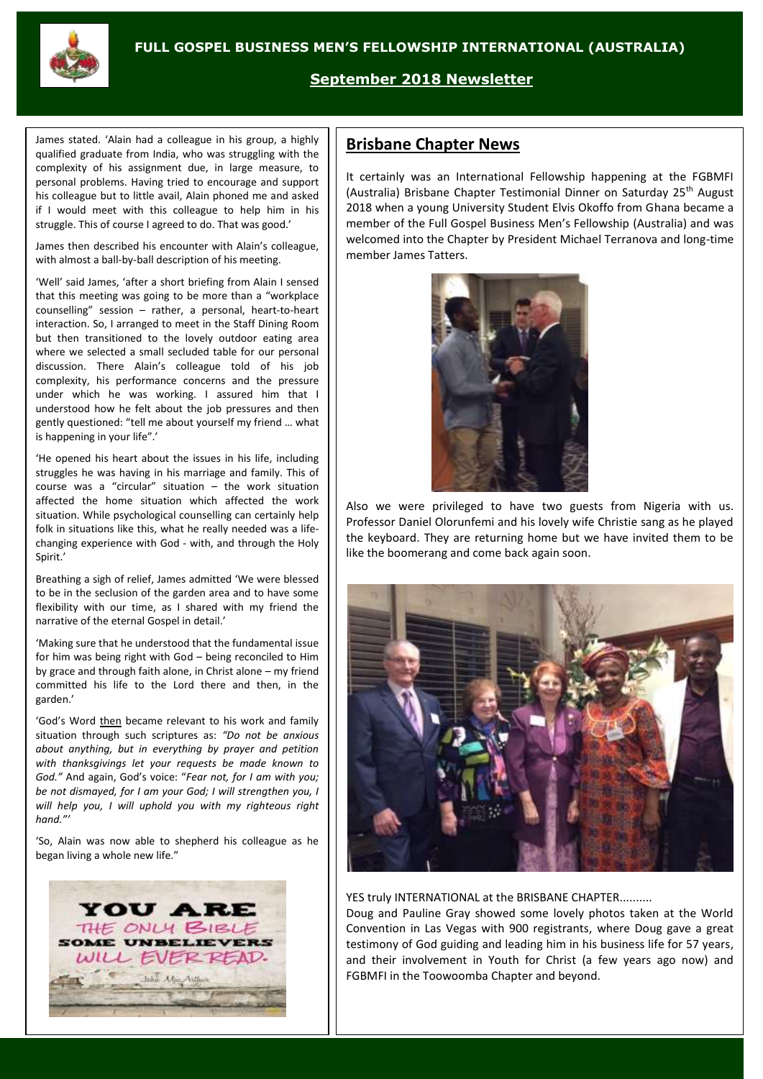

# **September 2018 Newsletter**

James stated. 'Alain had a colleague in his group, a highly qualified graduate from India, who was struggling with the complexity of his assignment due, in large measure, to personal problems. Having tried to encourage and support his colleague but to little avail, Alain phoned me and asked if I would meet with this colleague to help him in his struggle. This of course I agreed to do. That was good.'

James then described his encounter with Alain's colleague, with almost a ball-by-ball description of his meeting.

'Well' said James, 'after a short briefing from Alain I sensed that this meeting was going to be more than a "workplace counselling" session – rather, a personal, heart-to-heart interaction. So, I arranged to meet in the Staff Dining Room but then transitioned to the lovely outdoor eating area where we selected a small secluded table for our personal discussion. There Alain's colleague told of his job complexity, his performance concerns and the pressure under which he was working. I assured him that I understood how he felt about the job pressures and then gently questioned: "tell me about yourself my friend … what is happening in your life".'

'He opened his heart about the issues in his life, including struggles he was having in his marriage and family. This of course was a "circular" situation – the work situation affected the home situation which affected the work situation. While psychological counselling can certainly help folk in situations like this, what he really needed was a lifechanging experience with God - with, and through the Holy Spirit.'

Breathing a sigh of relief, James admitted 'We were blessed to be in the seclusion of the garden area and to have some flexibility with our time, as I shared with my friend the narrative of the eternal Gospel in detail.'

'Making sure that he understood that the fundamental issue for him was being right with God – being reconciled to Him by grace and through faith alone, in Christ alone – my friend committed his life to the Lord there and then, in the garden.'

'God's Word then became relevant to his work and family situation through such scriptures as: *"Do not be anxious about anything, but in everything by prayer and petition with thanksgivings let your requests be made known to God."* And again, God's voice: "*Fear not, for I am with you; be not dismayed, for I am your God; I will strengthen you, I will help you, I will uphold you with my righteous right hand."'*

'So, Alain was now able to shepherd his colleague as he began living a whole new life."



# **Brisbane Chapter News**

It certainly was an International Fellowship happening at the FGBMFI (Australia) Brisbane Chapter Testimonial Dinner on Saturday 25th August 2018 when a young University Student Elvis Okoffo from Ghana became a member of the Full Gospel Business Men's Fellowship (Australia) and was welcomed into the Chapter by President Michael Terranova and long-time member James Tatters.



Also we were privileged to have two guests from Nigeria with us. Professor Daniel Olorunfemi and his lovely wife Christie sang as he played the keyboard. They are returning home but we have invited them to be like the boomerang and come back again soon.



#### YES truly INTERNATIONAL at the BRISBANE CHAPTER.........

Doug and Pauline Gray showed some lovely photos taken at the World Convention in Las Vegas with 900 registrants, where Doug gave a great testimony of God guiding and leading him in his business life for 57 years, and their involvement in Youth for Christ (a few years ago now) and FGBMFI in the Toowoomba Chapter and beyond.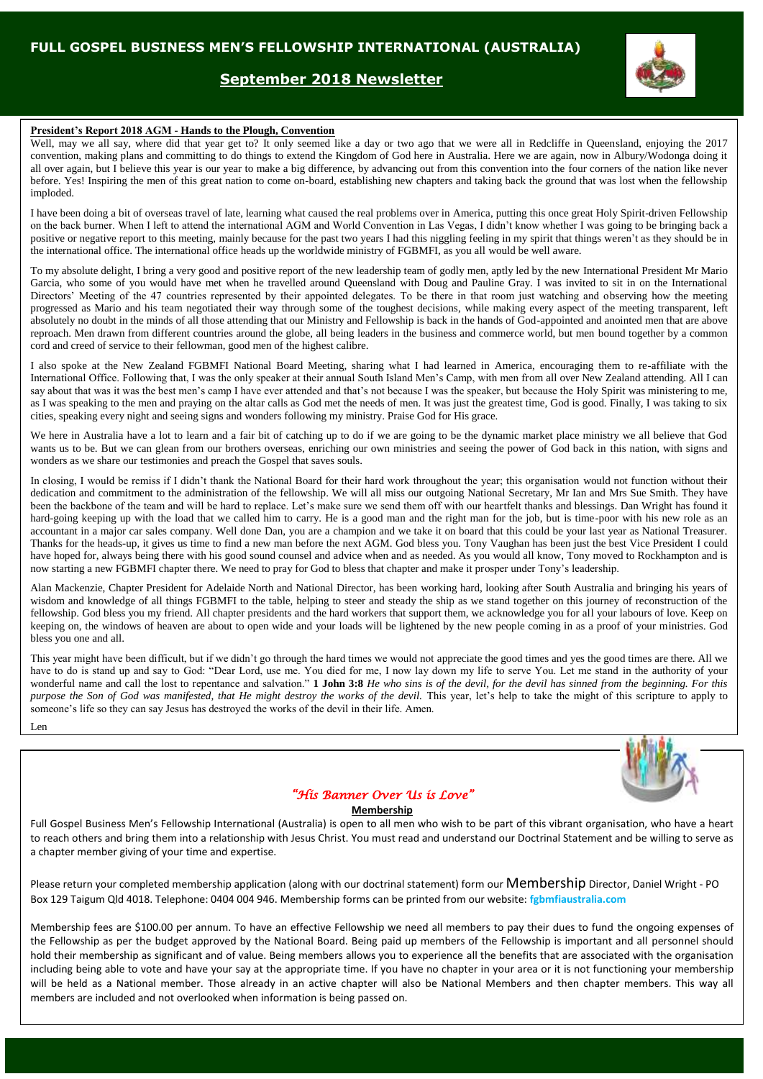## **September 2018 Newsletter**



#### **President's Report 2018 AGM - Hands to the Plough, Convention**

Well, may we all say, where did that year get to? It only seemed like a day or two ago that we were all in Redcliffe in Queensland, enjoying the 2017 convention, making plans and committing to do things to extend the Kingdom of God here in Australia. Here we are again, now in Albury/Wodonga doing it all over again, but I believe this year is our year to make a big difference, by advancing out from this convention into the four corners of the nation like never before. Yes! Inspiring the men of this great nation to come on-board, establishing new chapters and taking back the ground that was lost when the fellowship imploded.

I have been doing a bit of overseas travel of late, learning what caused the real problems over in America, putting this once great Holy Spirit-driven Fellowship on the back burner. When I left to attend the international AGM and World Convention in Las Vegas, I didn't know whether I was going to be bringing back a positive or negative report to this meeting, mainly because for the past two years I had this niggling feeling in my spirit that things weren't as they should be in the international office. The international office heads up the worldwide ministry of FGBMFI, as you all would be well aware.

To my absolute delight, I bring a very good and positive report of the new leadership team of godly men, aptly led by the new International President Mr Mario Garcia, who some of you would have met when he travelled around Queensland with Doug and Pauline Gray. I was invited to sit in on the International Directors' Meeting of the 47 countries represented by their appointed delegates. To be there in that room just watching and observing how the meeting progressed as Mario and his team negotiated their way through some of the toughest decisions, while making every aspect of the meeting transparent, left absolutely no doubt in the minds of all those attending that our Ministry and Fellowship is back in the hands of God-appointed and anointed men that are above reproach. Men drawn from different countries around the globe, all being leaders in the business and commerce world, but men bound together by a common cord and creed of service to their fellowman, good men of the highest calibre.

I also spoke at the New Zealand FGBMFI National Board Meeting, sharing what I had learned in America, encouraging them to re-affiliate with the International Office. Following that, I was the only speaker at their annual South Island Men's Camp, with men from all over New Zealand attending. All I can say about that was it was the best men's camp I have ever attended and that's not because I was the speaker, but because the Holy Spirit was ministering to me, as I was speaking to the men and praying on the altar calls as God met the needs of men. It was just the greatest time, God is good. Finally, I was taking to six cities, speaking every night and seeing signs and wonders following my ministry. Praise God for His grace.

We here in Australia have a lot to learn and a fair bit of catching up to do if we are going to be the dynamic market place ministry we all believe that God wants us to be. But we can glean from our brothers overseas, enriching our own ministries and seeing the power of God back in this nation, with signs and wonders as we share our testimonies and preach the Gospel that saves souls.

In closing, I would be remiss if I didn't thank the National Board for their hard work throughout the year; this organisation would not function without their dedication and commitment to the administration of the fellowship. We will all miss our outgoing National Secretary, Mr Ian and Mrs Sue Smith. They have been the backbone of the team and will be hard to replace. Let's make sure we send them off with our heartfelt thanks and blessings. Dan Wright has found it hard-going keeping up with the load that we called him to carry. He is a good man and the right man for the job, but is time-poor with his new role as an accountant in a major car sales company. Well done Dan, you are a champion and we take it on board that this could be your last year as National Treasurer. Thanks for the heads-up, it gives us time to find a new man before the next AGM. God bless you. Tony Vaughan has been just the best Vice President I could have hoped for, always being there with his good sound counsel and advice when and as needed. As you would all know, Tony moved to Rockhampton and is now starting a new FGBMFI chapter there. We need to pray for God to bless that chapter and make it prosper under Tony's leadership.

Alan Mackenzie, Chapter President for Adelaide North and National Director, has been working hard, looking after South Australia and bringing his years of wisdom and knowledge of all things FGBMFI to the table, helping to steer and steady the ship as we stand together on this journey of reconstruction of the fellowship. God bless you my friend. All chapter presidents and the hard workers that support them, we acknowledge you for all your labours of love. Keep on keeping on, the windows of heaven are about to open wide and your loads will be lightened by the new people coming in as a proof of your ministries. God bless you one and all.

This year might have been difficult, but if we didn't go through the hard times we would not appreciate the good times and yes the good times are there. All we have to do is stand up and say to God: "Dear Lord, use me. You died for me, I now lay down my life to serve You. Let me stand in the authority of your wonderful name and call the lost to repentance and salvation." **1 John 3:8** *He who sins is of the devil, for the devil has sinned from the beginning. For this purpose the Son of God was manifested, that He might destroy the works of the devil. This year, let's help to take the might of this scripture to apply to* someone's life so they can say Jesus has destroyed the works of the devil in their life. Amen.

Len

## *"His Banner Over Us is Love"*

#### **Membership**

Full Gospel Business Men's Fellowship International (Australia) is open to all men who wish to be part of this vibrant organisation, who have a heart to reach others and bring them into a relationship with Jesus Christ. You must read and understand our Doctrinal Statement and be willing to serve as a chapter member giving of your time and expertise.

Please return your completed membership application (along with our doctrinal statement) form our Membership Director, Daniel Wright - PO Box 129 Taigum Qld 4018. Telephone: 0404 004 946. Membership forms can be printed from our website: **fgbmfiaustralia.com**

Membership fees are \$100.00 per annum. To have an effective Fellowship we need all members to pay their dues to fund the ongoing expenses of the Fellowship as per the budget approved by the National Board. Being paid up members of the Fellowship is important and all personnel should hold their membership as significant and of value. Being members allows you to experience all the benefits that are associated with the organisation including being able to vote and have your say at the appropriate time. If you have no chapter in your area or it is not functioning your membership will be held as a National member. Those already in an active chapter will also be National Members and then chapter members. This way all members are included and not overlooked when information is being passed on.